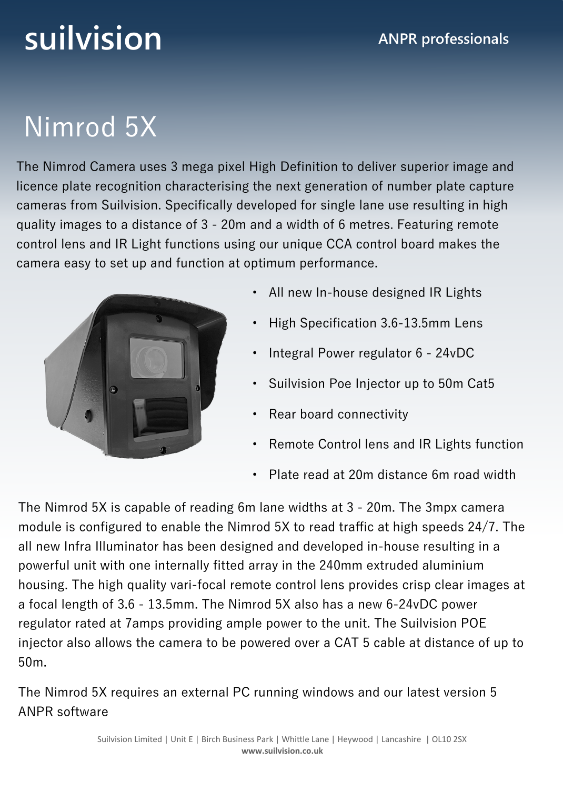# **suilvision ANPR** professionals

### Nimrod 5X

The Nimrod Camera uses 3 mega pixel High Definition to deliver superior image and licence plate recognition characterising the next generation of number plate capture cameras from Suilvision. Specifically developed for single lane use resulting in high quality images to a distance of 3 - 20m and a width of 6 metres. Featuring remote control lens and IR Light functions using our unique CCA control board makes the camera easy to set up and function at optimum performance.



- All new In-house designed IR Lights
- High Specification 3.6-13.5mm Lens
- Integral Power regulator 6 24vDC
- Suilvision Poe Injector up to 50m Cat5
- Rear board connectivity
- Remote Control lens and IR Lights function
- Plate read at 20m distance 6m road width

The Nimrod 5X is capable of reading 6m lane widths at 3 - 20m. The 3mpx camera module is configured to enable the Nimrod 5X to read traffic at high speeds 24/7. The all new Infra Illuminator has been designed and developed in-house resulting in a powerful unit with one internally fitted array in the 240mm extruded aluminium housing. The high quality vari-focal remote control lens provides crisp clear images at a focal length of 3.6 - 13.5mm. The Nimrod 5X also has a new 6-24vDC power regulator rated at 7amps providing ample power to the unit. The Suilvision POE injector also allows the camera to be powered over a CAT 5 cable at distance of up to 50m.

The Nimrod 5X requires an external PC running windows and our latest version 5 ANPR software